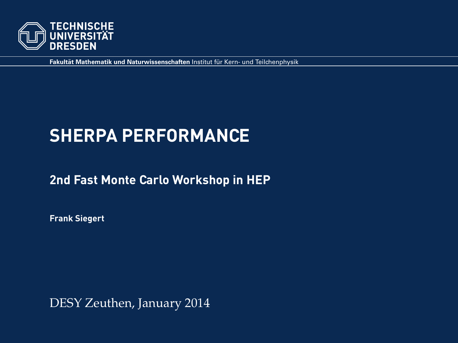

**Fakultät Mathematik und Naturwissenschaften Institut für Kern- und Teilchenphysik** 

# **SHERPA PERFORMANCE**

#### **2nd Fast Monte Carlo Workshop in HEP**

**Frank Siegert**

DESY Zeuthen, January 2014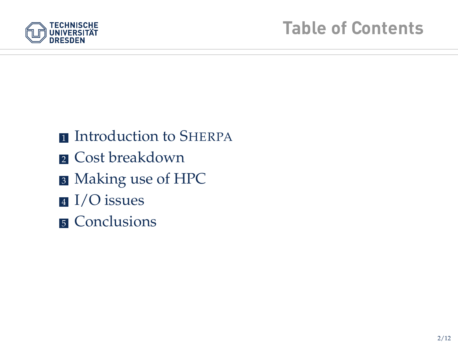

- **n** Introduction to SHERPA
- **2** Cost breakdown
- <sup>3</sup> Making use of HPC
- <sup>4</sup> I/O issues
- **5** Conclusions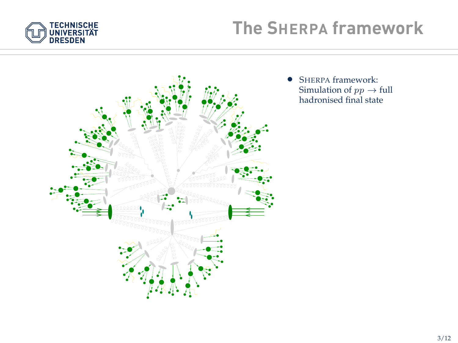



• SHERPA framework: Simulation of  $pp \rightarrow$  full hadronised final state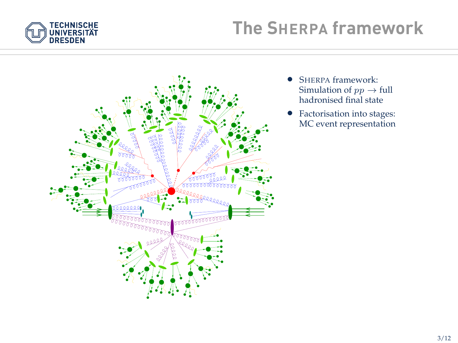



- SHERPA framework: Simulation of  $pp \rightarrow$  full hadronised final state
- Factorisation into stages: MC event representation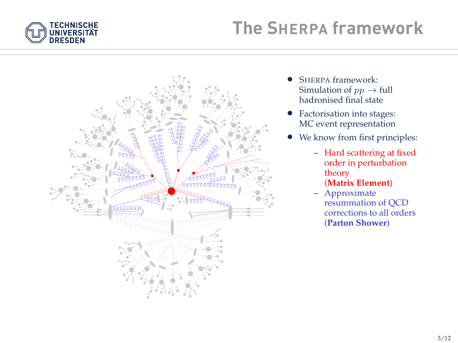



- SHERPA framework: Simulation of  $pp \rightarrow full$ hadronised final state
- Factorisation into stages: MC event representation
- We know from first principles:
	- Hard scattering at fixed order in perturbation theory

#### (**Matrix Element**)

– Approximate resummation of QCD corrections to all orders (**Parton Shower**)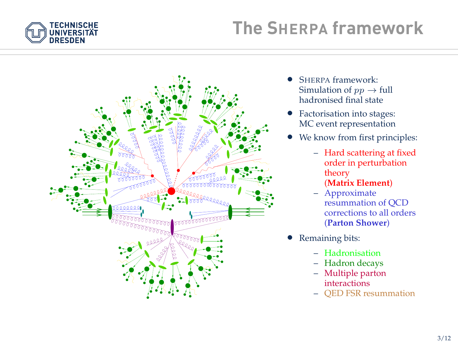



- SHERPA framework: Simulation of  $pp \rightarrow$  full hadronised final state
- Factorisation into stages: MC event representation
- We know from first principles:
	- Hard scattering at fixed order in perturbation theory

#### (**Matrix Element**)

- Approximate resummation of QCD corrections to all orders (**Parton Shower**)
- Remaining bits:
	- Hadronisation
	- Hadron decays
	- Multiple parton interactions
	- QED FSR resummation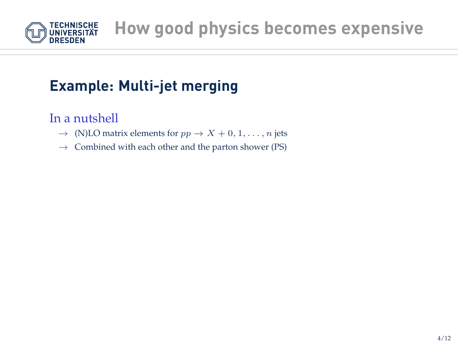

## **Example: Multi-jet merging**

In a nutshell

- $\rightarrow$  (N)LO matrix elements for  $pp \rightarrow X + 0, 1, \ldots, n$  jets
- $\rightarrow$  Combined with each other and the parton shower (PS)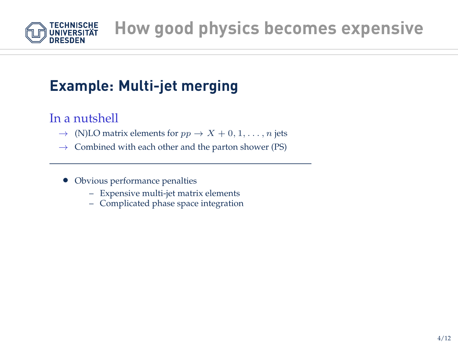

## **Example: Multi-jet merging**

In a nutshell

- $\rightarrow$  (N)LO matrix elements for  $pp \rightarrow X + 0, 1, \ldots, n$  jets
- $\rightarrow$  Combined with each other and the parton shower (PS)
	- Obvious performance penalties
		- Expensive multi-jet matrix elements
		- Complicated phase space integration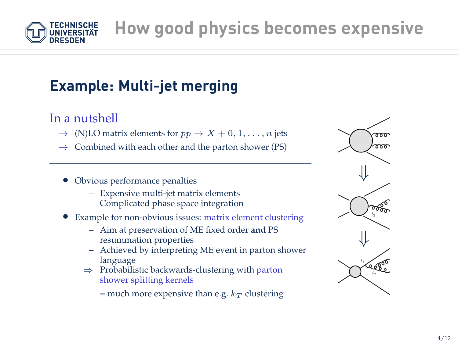**How good physics becomes expensive**

## **Example: Multi-jet merging**

#### In a nutshell

- $\rightarrow$  (N)LO matrix elements for  $pp \rightarrow X + 0, 1, \ldots, n$  jets
- $\rightarrow$  Combined with each other and the parton shower (PS)
- Obvious performance penalties
	- Expensive multi-jet matrix elements
	- Complicated phase space integration
- Example for non-obvious issues: matrix element clustering
	- Aim at preservation of ME fixed order **and** PS resummation properties
	- Achieved by interpreting ME event in parton shower language
	- ⇒ Probabilistic backwards-clustering with parton shower splitting kernels

= much more expensive than e.g.  $k_T$  clustering



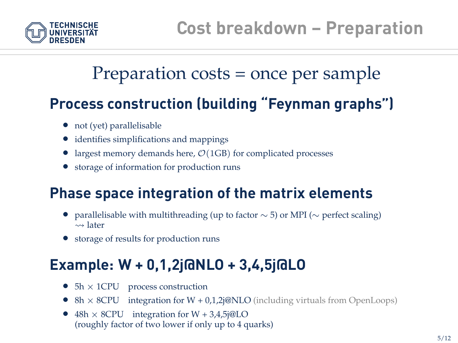

# Preparation costs = once per sample

## **Process construction (building "Feynman graphs")**

- not (yet) parallelisable
- identifies simplifications and mappings
- largest memory demands here,  $\mathcal{O}(1 \text{GB})$  for complicated processes
- storage of information for production runs

## **Phase space integration of the matrix elements**

- parallelisable with multithreading (up to factor  $\sim$  5) or MPI ( $\sim$  perfect scaling)  $\rightsquigarrow$  later
- storage of results for production runs

## **Example: W + 0,1,2j@NLO + 3,4,5j@LO**

- $5h \times 1$ CPU process construction
- 8h  $\times$  8CPU integration for  $W + 0.1.2$ j@NLO (including virtuals from OpenLoops)
- $48h \times 8$ CPU integration for W + 3,4,5j@LO (roughly factor of two lower if only up to 4 quarks)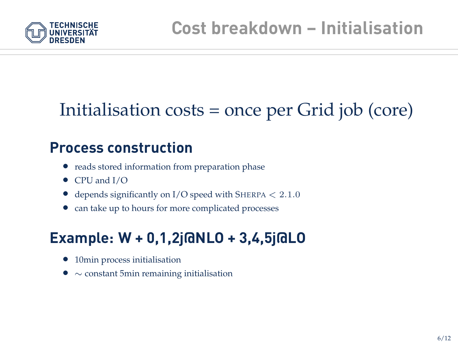

# Initialisation costs = once per Grid job (core)

#### **Process construction**

- reads stored information from preparation phase
- CPU and I/O
- depends significantly on  $I/O$  speed with SHERPA  $< 2.1.0$
- can take up to hours for more complicated processes

## **Example: W + 0,1,2j@NLO + 3,4,5j@LO**

- 10min process initialisation
- ∼ constant 5min remaining initialisation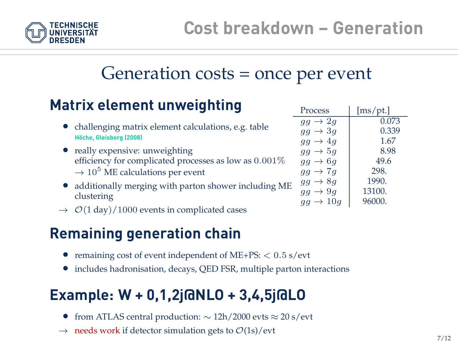

## Generation costs = once per event

## **Matrix element unweighting**

- challenging matrix element calculations, e.g. table **Hoche, Gleisberg (2008) ¨**
- really expensive: unweighting efficiency for complicated processes as low as 0.001%  $\rightarrow$  10<sup>5</sup> ME calculations per event
- additionally merging with parton shower including ME clustering
- $\rightarrow$   $\mathcal{O}(1 \text{ day})/1000$  events in complicated cases

## **Remaining generation chain**

- remaining cost of event independent of  $ME+PS: < 0.5$  s/evt
- includes hadronisation, decays, QED FSR, multiple parton interactions

## **Example: W + 0,1,2j@NLO + 3,4,5j@LO**

- from ATLAS central production: ∼ 12h/2000 evts ≈ 20 s/evt
- $\rightarrow$  needs work if detector simulation gets to  $\mathcal{O}(1s)/\text{evt}$

| Process                             | [ms/pt.] |
|-------------------------------------|----------|
| $gg \rightarrow 2q$                 | 0.073    |
| $gg \rightarrow 3g$                 | 0.339    |
| $gg \rightarrow 4q$                 | 1.67     |
| $gg \rightarrow 5g$                 | 8.98     |
| $gg \rightarrow 6q$                 | 49.6     |
| $gg \rightarrow 7g$                 | 298.     |
| $\rightarrow 8q$<br>$g\overline{g}$ | 1990.    |
| $\rightarrow 9q$<br>$g\overline{g}$ | 13100.   |
| $\rightarrow 10q$                   | 96000.   |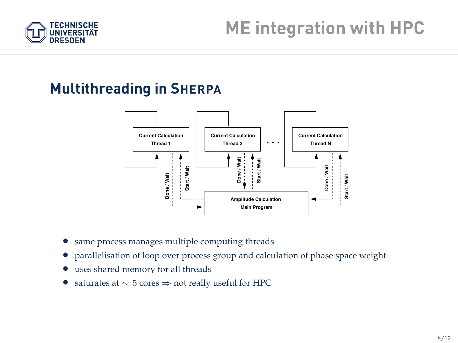

## **Multithreading in SHERPA**



- same process manages multiple computing threads
- parallelisation of loop over process group and calculation of phase space weight
- uses shared memory for all threads
- saturates at  $\sim 5$  cores  $\Rightarrow$  not really useful for HPC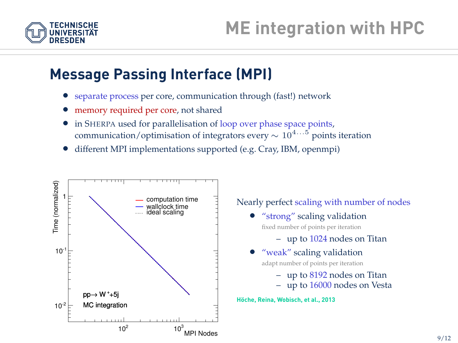

### **Message Passing Interface (MPI)**

- separate process per core, communication through (fast!) network
- memory required per core, not shared
- in SHERPA used for parallelisation of loop over phase space points, communication/optimisation of integrators every  $\sim 10^{4...5}$  points iteration
- different MPI implementations supported (e.g. Cray, IBM, openmpi)

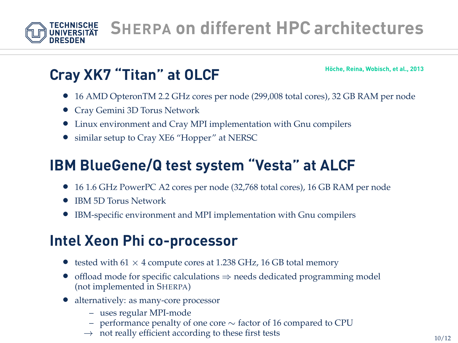

## **Cray XK7 "Titan" at OLCF**

**Hoche, Reina, Wobisch, et al., 2013 ¨**

- 16 AMD OpteronTM 2.2 GHz cores per node (299,008 total cores), 32 GB RAM per node
- Cray Gemini 3D Torus Network
- Linux environment and Cray MPI implementation with Gnu compilers
- similar setup to Cray XE6 "Hopper" at NERSC

## **IBM BlueGene/Q test system "Vesta" at ALCF**

- 16 1.6 GHz PowerPC A2 cores per node (32,768 total cores), 16 GB RAM per node
- IBM 5D Torus Network
- IBM-specific environment and MPI implementation with Gnu compilers

## **Intel Xeon Phi co-processor**

- tested with  $61 \times 4$  compute cores at 1.238 GHz, 16 GB total memory
- offload mode for specific calculations  $\Rightarrow$  needs dedicated programming model (not implemented in SHERPA)
- alternatively: as many-core processor
	- uses regular MPI-mode
	- performance penalty of one core ∼ factor of 16 compared to CPU
	- $\rightarrow$  not really efficient according to these first tests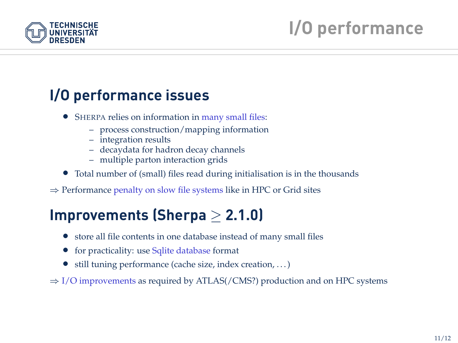

## **I/O performance issues**

- SHERPA relies on information in many small files:
	- process construction/mapping information
	- integration results
	- decaydata for hadron decay channels
	- multiple parton interaction grids
- Total number of (small) files read during initialisation is in the thousands
- ⇒ Performance penalty on slow file systems like in HPC or Grid sites

## **Improvements (Sherpa** ≥ **2.1.0)**

- store all file contents in one database instead of many small files
- for practicality: use Sqlite database format
- still tuning performance (cache size, index creation, ...)

 $\Rightarrow$  I/O improvements as required by ATLAS(/CMS?) production and on HPC systems